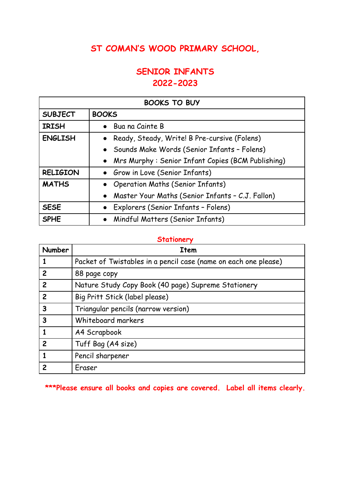## **ST COMAN'S WOOD PRIMARY SCHOOL,**

## **SENIOR INFANTS 2022-2023**

| <b>BOOKS TO BUY</b> |                                                     |  |
|---------------------|-----------------------------------------------------|--|
| <b>SUBJECT</b>      | <b>BOOKS</b>                                        |  |
| <b>IRISH</b>        | Bua na Cainte B                                     |  |
| <b>ENGLISH</b>      | Ready, Steady, Write! B Pre-cursive (Folens)        |  |
|                     | • Sounds Make Words (Senior Infants - Folens)       |  |
|                     | • Mrs Murphy: Senior Infant Copies (BCM Publishing) |  |
| <b>RELIGION</b>     | • Grow in Love (Senior Infants)                     |  |
| <b>MATHS</b>        | • Operation Maths (Senior Infants)                  |  |
|                     | • Master Your Maths (Senior Infants - C.J. Fallon)  |  |
| <b>SESE</b>         | Explorers (Senior Infants - Folens)                 |  |
| <b>SPHE</b>         | • Mindful Matters (Senior Infants)                  |  |

## **Stationery**

| <b>Number</b>  | Item                                                            |
|----------------|-----------------------------------------------------------------|
|                | Packet of Twistables in a pencil case (name on each one please) |
| $\overline{2}$ | 88 page copy                                                    |
| $\overline{2}$ | Nature Study Copy Book (40 page) Supreme Stationery             |
| $\overline{2}$ | Big Pritt Stick (label please)                                  |
| $\mathbf{3}$   | Triangular pencils (narrow version)                             |
| $\mathbf{3}$   | Whiteboard markers                                              |
|                | A4 Scrapbook                                                    |
| $\overline{2}$ | Tuff Bag (A4 size)                                              |
|                | Pencil sharpener                                                |
| 2              | Eraser                                                          |

**\*\*\*Please ensure all books and copies are covered. Label all items clearly.**